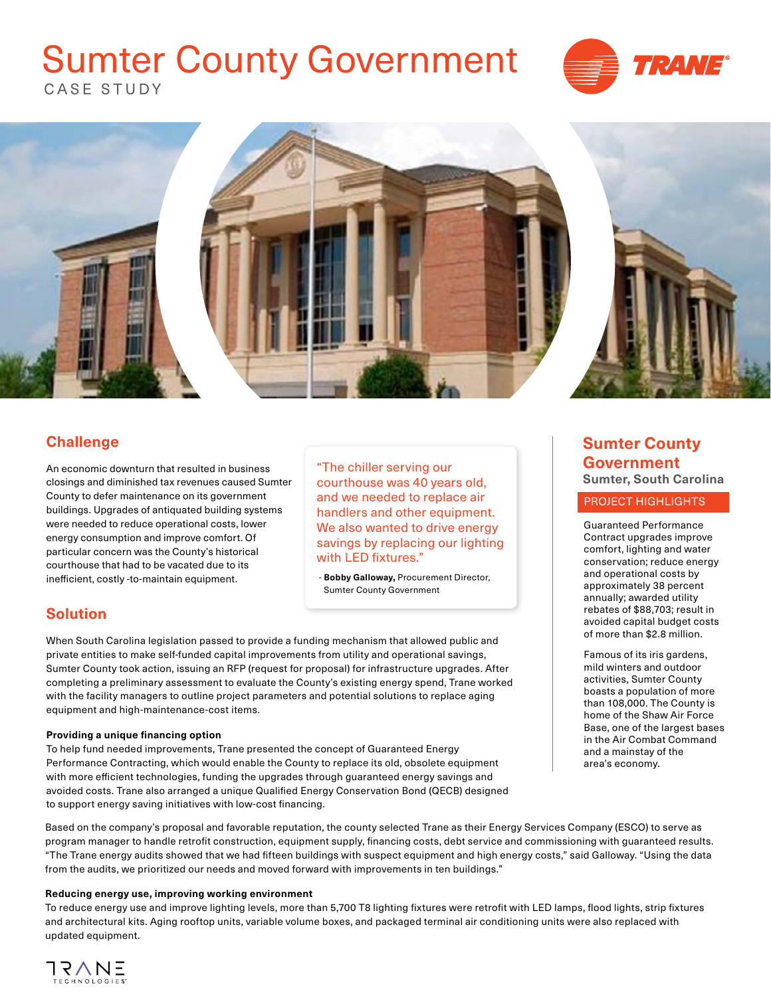## CASE STUDY Sumter County Government





## **Challenge**

An economic downturn that resulted in business closings and diminished tax revenues caused Sumter County to defer maintenance on its government buildings. Upgrades of antiquated building systems were needed to reduce operational costs, lower energy consumption and improve comfort. Of particular concern was the County's historical courthouse that had to be vacated due to its inefficient, costly -to-maintain equipment.

"The chiller serving our courthouse was 40 years old, and we needed to replace air handlers and other equipment. We also wanted to drive energy savings by replacing our lighting with LED fixtures."

 - **Bobby Galloway,** Procurement Director, Sumter County Government

## **Solution**

When South Carolina legislation passed to provide a funding mechanism that allowed public and private entities to make self-funded capital improvements from utility and operational savings, Sumter County took action, issuing an RFP (request for proposal) for infrastructure upgrades. After completing a preliminary assessment to evaluate the County's existing energy spend, Trane worked with the facility managers to outline project parameters and potential solutions to replace aging equipment and high-maintenance-cost items.

### **Providing a unique financing option**

To help fund needed improvements, Trane presented the concept of Guaranteed Energy Performance Contracting, which would enable the County to replace its old, obsolete equipment with more efficient technologies, funding the upgrades through guaranteed energy savings and avoided costs. Trane also arranged a unique Qualified Energy Conservation Bond (QECB) designed to support energy saving initiatives with low-cost financing.

## **Sumter County Government Sumter, South Carolina**

### PROJECT HIGHLIGHTS

Guaranteed Performance Contract upgrades improve comfort, lighting and water conservation; reduce energy and operational costs by approximately 38 percent annually; awarded utility rebates of \$88,703; result in avoided capital budget costs of more than \$2.8 million.

Famous of its iris gardens, mild winters and outdoor activities, Sumter County boasts a population of more than 108,000. The County is home of the Shaw Air Force Base, one of the largest bases in the Air Combat Command and a mainstay of the area's economy.

Based on the company's proposal and favorable reputation, the county selected Trane as their Energy Services Company (ESCO) to serve as program manager to handle retrofit construction, equipment supply, financing costs, debt service and commissioning with guaranteed results. "The Trane energy audits showed that we had fifteen buildings with suspect equipment and high energy costs," said Galloway. "Using the data from the audits, we prioritized our needs and moved forward with improvements in ten buildings."

### **Reducing energy use, improving working environment**

To reduce energy use and improve lighting levels, more than 5,700 T8 lighting fixtures were retrofit with LED lamps, flood lights, strip fixtures and architectural kits. Aging rooftop units, variable volume boxes, and packaged terminal air conditioning units were also replaced with updated equipment.